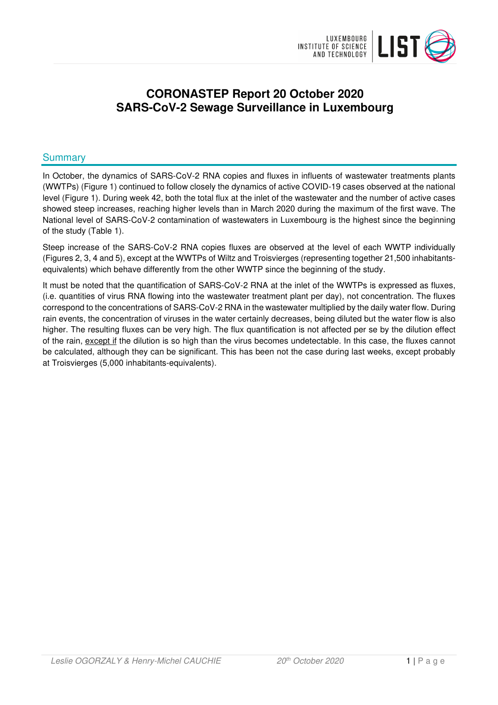

# **CORONASTEP Report 20 October 2020 SARS-CoV-2 Sewage Surveillance in Luxembourg**

# **Summary**

In October, the dynamics of SARS-CoV-2 RNA copies and fluxes in influents of wastewater treatments plants (WWTPs) (Figure 1) continued to follow closely the dynamics of active COVID-19 cases observed at the national level (Figure 1). During week 42, both the total flux at the inlet of the wastewater and the number of active cases showed steep increases, reaching higher levels than in March 2020 during the maximum of the first wave. The National level of SARS-CoV-2 contamination of wastewaters in Luxembourg is the highest since the beginning of the study (Table 1).

Steep increase of the SARS-CoV-2 RNA copies fluxes are observed at the level of each WWTP individually (Figures 2, 3, 4 and 5), except at the WWTPs of Wiltz and Troisvierges (representing together 21,500 inhabitantsequivalents) which behave differently from the other WWTP since the beginning of the study.

It must be noted that the quantification of SARS-CoV-2 RNA at the inlet of the WWTPs is expressed as fluxes, (i.e. quantities of virus RNA flowing into the wastewater treatment plant per day), not concentration. The fluxes correspond to the concentrations of SARS-CoV-2 RNA in the wastewater multiplied by the daily water flow. During rain events, the concentration of viruses in the water certainly decreases, being diluted but the water flow is also higher. The resulting fluxes can be very high. The flux quantification is not affected per se by the dilution effect of the rain, except if the dilution is so high than the virus becomes undetectable. In this case, the fluxes cannot be calculated, although they can be significant. This has been not the case during last weeks, except probably at Troisvierges (5,000 inhabitants-equivalents).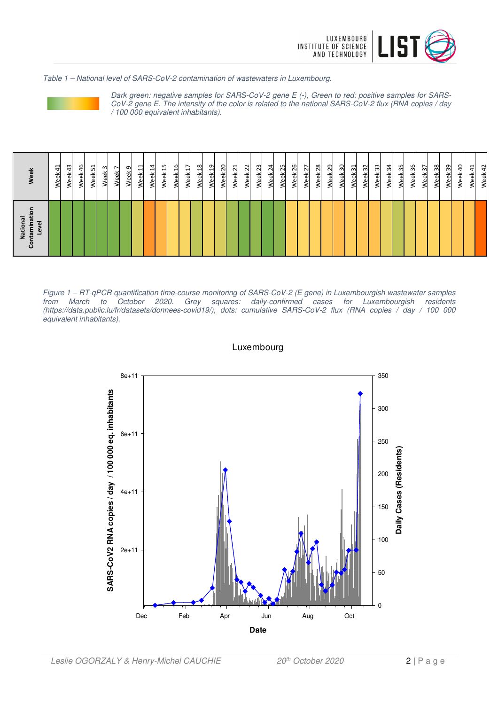

Table 1 – National level of SARS-CoV-2 contamination of wastewaters in Luxembourg.



Dark green: negative samples for SARS-CoV-2 gene E (-), Green to red: positive samples for SARS-CoV-2 gene E. The intensity of the color is related to the national SARS-CoV-2 flux (RNA copies / day / 100 000 equivalent inhabitants).

| Contamination<br>National<br>Level | Week                                 |
|------------------------------------|--------------------------------------|
|                                    | 싀<br>Week                            |
|                                    | $\frac{1}{2}$<br>Week                |
|                                    | $\frac{6}{5}$<br>Week                |
|                                    | 51<br>Week                           |
|                                    | $\mathsf{c}$<br>Week                 |
|                                    | $\overline{\phantom{0}}$<br>Week     |
|                                    | თ<br>Week                            |
|                                    | 님<br>Week                            |
|                                    | 4<br>Ĥ<br>Week                       |
|                                    | S<br>$\mathbf{\overline{d}}$<br>Week |
|                                    | ٩<br>Week                            |
|                                    | H<br>Week                            |
|                                    | $\frac{8}{2}$<br>Week                |
|                                    | ဍ<br>Week                            |
|                                    | 20<br>Week                           |
|                                    | ಸ<br>Week                            |
|                                    | $\overline{\mathbf{z}}$<br>Week      |
|                                    | 23<br>Week                           |
|                                    | $\overline{\mathcal{L}}$<br>Week     |
|                                    | 25<br>Week                           |
|                                    | 26<br>Week                           |
|                                    | 27<br>Week                           |
|                                    | $^{28}$<br>Week                      |
|                                    | 29<br>ъ́<br>Уe                       |
|                                    | ႙<br>Week                            |
|                                    | ನ<br>Week                            |
|                                    | 32<br>Week                           |
|                                    | 33<br>Week                           |
|                                    | 34<br>Week                           |
|                                    | 55<br>Week                           |
|                                    | 36<br>畜<br>Š                         |
|                                    | $\overline{\mathcal{E}}$<br>Week     |
|                                    | 38<br>Week                           |
|                                    | ဥ<br>Week                            |
|                                    | $\overline{a}$<br>Week               |
|                                    | 싀<br>Week                            |
|                                    | 42<br>Week                           |

Figure 1 – RT-qPCR quantification time-course monitoring of SARS-CoV-2 (E gene) in Luxembourgish wastewater samples october 2020. Grey squares: daily-confirmed cases for Luxembourgish residents (https://data.public.lu/fr/datasets/donnees-covid19/), dots: cumulative SARS-CoV-2 flux (RNA copies / day / 100 000 equivalent inhabitants).

## Luxembourg

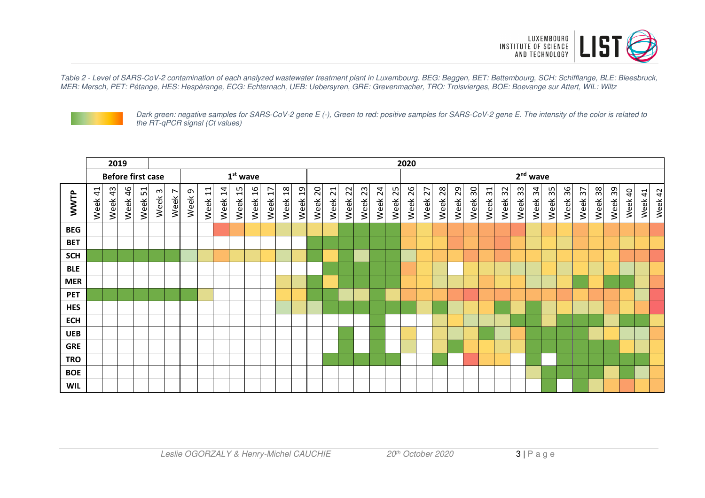

Table 2 - Level of SARS-CoV-2 contamination of each analyzed wastewater treatment plant in Luxembourg. BEG: Beggen, BET: Bettembourg, SCH: Schifflange, BLE: Bleesbruck, MER: Mersch, PET: Pétange, HES: Hespèrange, ECG: Echternach, UEB: Uebersyren, GRE: Grevenmacher, TRO: Troisvierges, BOE: Boevange sur Attert, WIL: Wiltz



Dark green: negative samples for SARS-CoV-2 gene E (-), Green to red: positive samples for SARS-CoV-2 gene E. The intensity of the color is related to the RT-qPCR signal (Ct values)

|            |         |         | 2019<br>2020 |         |                          |        |                   |                                    |                    |            |                       |           |                       |                        |            |         |         |         |         |         |         |         |            |            |            |                         |            |            |                        |         |         |         |         |         |         |         |         |
|------------|---------|---------|--------------|---------|--------------------------|--------|-------------------|------------------------------------|--------------------|------------|-----------------------|-----------|-----------------------|------------------------|------------|---------|---------|---------|---------|---------|---------|---------|------------|------------|------------|-------------------------|------------|------------|------------------------|---------|---------|---------|---------|---------|---------|---------|---------|
|            |         |         |              |         | <b>Before first case</b> |        |                   | 2 <sup>nd</sup> wave<br>$1st$ wave |                    |            |                       |           |                       |                        |            |         |         |         |         |         |         |         |            |            |            |                         |            |            |                        |         |         |         |         |         |         |         |         |
| WWTP       | Week 41 | Week 43 | Week 46      | Week 51 | Week <sub>3</sub>        | Week 7 | Week <sub>9</sub> | Week <sub>11</sub>                 | Week <sub>14</sub> | 15<br>Week | $\frac{9}{1}$<br>Week | H<br>Week | $\frac{8}{2}$<br>Week | $\overline{a}$<br>Week | 20<br>Week | Week 21 | Week 22 | Week 23 | Week 24 | Week 25 | Week 26 | Week 27 | 28<br>Week | 29<br>Week | ႙ၟ<br>Week | $\overline{31}$<br>Week | 32<br>Week | 33<br>Week | $\mathfrak{A}$<br>Week | Week 35 | Week 36 | Week 37 | Week 38 | Week 39 | Week 40 | Week 41 | Week 42 |
| <b>BEG</b> |         |         |              |         |                          |        |                   |                                    |                    |            |                       |           |                       |                        |            |         |         |         |         |         |         |         |            |            |            |                         |            |            |                        |         |         |         |         |         |         |         |         |
| <b>BET</b> |         |         |              |         |                          |        |                   |                                    |                    |            |                       |           |                       |                        |            |         |         |         |         |         |         |         |            |            |            |                         |            |            |                        |         |         |         |         |         |         |         |         |
| <b>SCH</b> |         |         |              |         |                          |        |                   |                                    |                    |            |                       |           |                       |                        |            |         |         |         |         |         |         |         |            |            |            |                         |            |            |                        |         |         |         |         |         |         |         |         |
| <b>BLE</b> |         |         |              |         |                          |        |                   |                                    |                    |            |                       |           |                       |                        |            |         |         |         |         |         |         |         |            |            |            |                         |            |            |                        |         |         |         |         |         |         |         |         |
| <b>MER</b> |         |         |              |         |                          |        |                   |                                    |                    |            |                       |           |                       |                        |            |         |         |         |         |         |         |         |            |            |            |                         |            |            |                        |         |         |         |         |         |         |         |         |
| <b>PET</b> |         |         |              |         |                          |        |                   |                                    |                    |            |                       |           |                       |                        |            |         |         |         |         |         |         |         |            |            |            |                         |            |            |                        |         |         |         |         |         |         |         |         |
| <b>HES</b> |         |         |              |         |                          |        |                   |                                    |                    |            |                       |           |                       |                        |            |         |         |         |         |         |         |         |            |            |            |                         |            |            |                        |         |         |         |         |         |         |         |         |
| <b>ECH</b> |         |         |              |         |                          |        |                   |                                    |                    |            |                       |           |                       |                        |            |         |         |         |         |         |         |         |            |            |            |                         |            |            |                        |         |         |         |         |         |         |         |         |
| <b>UEB</b> |         |         |              |         |                          |        |                   |                                    |                    |            |                       |           |                       |                        |            |         |         |         |         |         |         |         |            |            |            |                         |            |            |                        |         |         |         |         |         |         |         |         |
| <b>GRE</b> |         |         |              |         |                          |        |                   |                                    |                    |            |                       |           |                       |                        |            |         |         |         |         |         |         |         |            |            |            |                         |            |            |                        |         |         |         |         |         |         |         |         |
| <b>TRO</b> |         |         |              |         |                          |        |                   |                                    |                    |            |                       |           |                       |                        |            |         |         |         |         |         |         |         |            |            |            |                         |            |            |                        |         |         |         |         |         |         |         |         |
| <b>BOE</b> |         |         |              |         |                          |        |                   |                                    |                    |            |                       |           |                       |                        |            |         |         |         |         |         |         |         |            |            |            |                         |            |            |                        |         |         |         |         |         |         |         |         |
| <b>WIL</b> |         |         |              |         |                          |        |                   |                                    |                    |            |                       |           |                       |                        |            |         |         |         |         |         |         |         |            |            |            |                         |            |            |                        |         |         |         |         |         |         |         |         |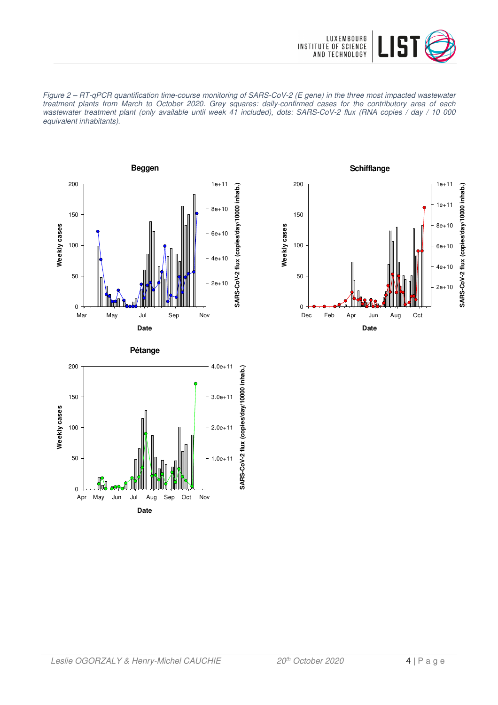

Figure 2 – RT-qPCR quantification time-course monitoring of SARS-CoV-2 (E gene) in the three most impacted wastewater treatment plants from March to October 2020. Grey squares: daily-confirmed cases for the contributory area of each wastewater treatment plant (only available until week 41 included), dots: SARS-CoV-2 flux (RNA copies / day / 10 000 equivalent inhabitants).





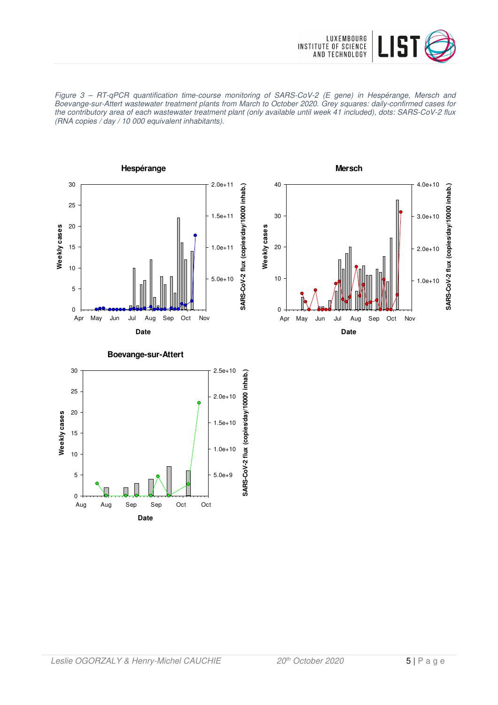

Figure 3 – RT-qPCR quantification time-course monitoring of SARS-CoV-2 (E gene) in Hespérange, Mersch and Boevange-sur-Attert wastewater treatment plants from March to October 2020. Grey squares: daily-confirmed cases for the contributory area of each wastewater treatment plant (only available until week 41 included), dots: SARS-CoV-2 flux (RNA copies / day / 10 000 equivalent inhabitants).





**SARS-CoV-2 flux (copies/day/10000 inhab.)**

SARS-CoV-2 flux (copies/day/10000 inhab.)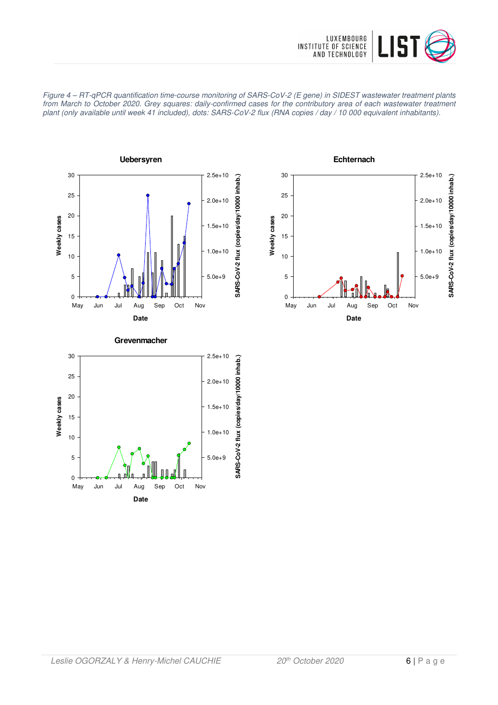







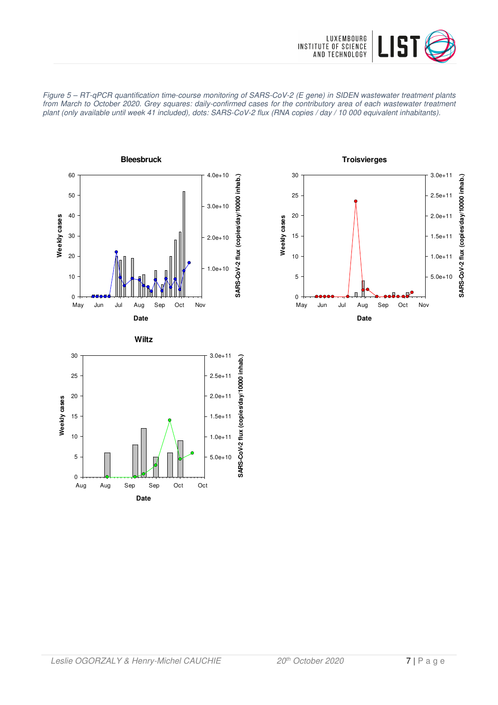







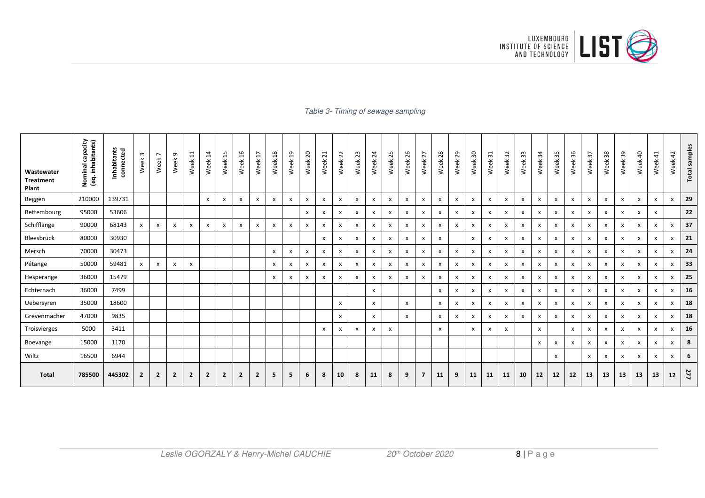

#### Table 3- Timing of sewage sampling

| Wastewater<br><b>Treatment</b><br>Plant | Nominal capacity<br>(eq. inhabitants)<br><b>Nominal</b> | Inhabitants<br>connected | $\omega$<br>Week | $\overline{ }$<br>Week <sup>-</sup> | თ,<br>Week     | Ħ<br>Week      | $\overline{4}$<br>Week    | ង<br>Week      | 9T<br>Week                | H<br>Week      | $^{28}$<br>Week | <u>ე</u><br>Week | $\overline{c}$<br>Week    | ដ<br>Week | 22<br>Week                | 23<br>Week                | $\overline{24}$<br>Week | 25<br>Week   | 26<br>Week                | 27<br>Week                | 28<br>Week                | 29<br>Week   | 50<br>Week                | $\mathfrak{L}$<br>Week | 32<br>Week | $33\,$<br>Week            | 54<br>Week                | 35<br>Week   | 36<br>Week                | 57<br>Week                | $38\,$<br>Week | 39<br>Week   | Week 40                   | $\overline{4}$<br>Week | 42<br>Week                | <b>Total samples</b> |
|-----------------------------------------|---------------------------------------------------------|--------------------------|------------------|-------------------------------------|----------------|----------------|---------------------------|----------------|---------------------------|----------------|-----------------|------------------|---------------------------|-----------|---------------------------|---------------------------|-------------------------|--------------|---------------------------|---------------------------|---------------------------|--------------|---------------------------|------------------------|------------|---------------------------|---------------------------|--------------|---------------------------|---------------------------|----------------|--------------|---------------------------|------------------------|---------------------------|----------------------|
| Beggen                                  | 210000                                                  | 139731                   |                  |                                     |                |                | $\boldsymbol{\mathsf{x}}$ | x              | $\boldsymbol{\mathsf{x}}$ | $\mathsf{x}$   | x               | X                | X                         | x         | $\boldsymbol{\mathsf{x}}$ | $\boldsymbol{\mathsf{x}}$ | X                       | x            | X                         | $\boldsymbol{\mathsf{x}}$ | X                         | $\mathsf{x}$ | $\boldsymbol{\mathsf{x}}$ | X                      | x          | X                         | $\boldsymbol{\mathsf{x}}$ | X            | $\boldsymbol{\mathsf{x}}$ | $\boldsymbol{\mathsf{x}}$ | x              | X            | $\mathsf{x}$              | X                      | X                         | 29                   |
| Bettembourg                             | 95000                                                   | 53606                    |                  |                                     |                |                |                           |                |                           |                |                 |                  | X                         | x         | x                         | $\boldsymbol{\mathsf{x}}$ | X                       | x            | X                         | X                         | X                         | X            | x                         | X                      | X          | X                         | X                         | x            | X                         | $\mathsf{x}$              | x              | X            | X                         | x                      |                           | 22                   |
| Schifflange                             | 90000                                                   | 68143                    | $\pmb{\times}$   | $\mathsf{x}$                        | x              | X              | $\boldsymbol{\mathsf{x}}$ | x              | $\pmb{\mathsf{x}}$        | x              | x               | X                | X                         | x         | X                         | $\boldsymbol{\mathsf{x}}$ | X                       | x            | x                         | x                         | X                         | X            | x                         | X                      | X          | X                         | X                         | x            | x                         | X                         | x              | X            | $\boldsymbol{\mathsf{x}}$ | x                      | X                         | 37                   |
| Bleesbrück                              | 80000                                                   | 30930                    |                  |                                     |                |                |                           |                |                           |                |                 |                  |                           | x         | x                         | x                         | x                       | x            | X                         | X                         | $\mathsf{x}$              |              | x                         | X                      | x          | x                         | X                         | x            | X                         | $\boldsymbol{\mathsf{x}}$ | x              | X            | X                         | x                      | X                         | 21                   |
| Mersch                                  | 70000                                                   | 30473                    |                  |                                     |                |                |                           |                |                           |                | x               | x                | X                         | x         | $\boldsymbol{\mathsf{x}}$ | X                         | x                       | x            | X                         | x                         | X                         | X            | x                         | x                      | X          | X                         | $\boldsymbol{\mathsf{x}}$ | x            | X                         | $\boldsymbol{\mathsf{x}}$ | x              | X            | $\mathsf{x}$              | x                      | $\boldsymbol{\mathsf{x}}$ | 24                   |
| Pétange                                 | 50000                                                   | 59481                    | $\mathsf{x}$     | $\mathsf{x}$                        | $\mathsf{x}$   | $\mathsf{x}$   |                           |                |                           |                | X               | X                | $\boldsymbol{\mathsf{x}}$ | X         | $\mathsf{x}$              | $\mathsf{x}$              | x                       | $\mathsf{x}$ | $\boldsymbol{\mathsf{x}}$ | x                         | $\mathsf{x}$              | $\mathsf{x}$ | $\mathsf{x}$              | x                      | x          | $\boldsymbol{\mathsf{x}}$ | $\boldsymbol{\mathsf{x}}$ | x            | X                         | $\boldsymbol{\mathsf{x}}$ | $\mathsf{x}$   | $\mathsf{x}$ | $\mathsf{x}$              | X                      | X                         | 33                   |
| Hesperange                              | 36000                                                   | 15479                    |                  |                                     |                |                |                           |                |                           |                | x               | x                | X                         | x         | X                         | $\boldsymbol{\mathsf{x}}$ | x                       | x            | X                         | x                         | x                         | X            | x                         | X                      | x          | X                         | $\boldsymbol{\mathsf{x}}$ | x            | X                         | $\mathsf{x}$              | x              | X            | $\boldsymbol{\mathsf{x}}$ | x                      | X                         | 25                   |
| Echternach                              | 36000                                                   | 7499                     |                  |                                     |                |                |                           |                |                           |                |                 |                  |                           |           |                           |                           | x                       |              |                           |                           | $\mathsf{x}$              | X            | x                         | X                      | X          | x                         | $\boldsymbol{\mathsf{x}}$ | x            | X                         | $\boldsymbol{\mathsf{x}}$ | x              | X            | $\mathsf{x}$              | x                      | X                         | 16                   |
| Uebersyren                              | 35000                                                   | 18600                    |                  |                                     |                |                |                           |                |                           |                |                 |                  |                           |           | x                         |                           | x                       |              | X                         |                           | $\boldsymbol{\mathsf{x}}$ | X            | x                         | X                      | X          | X                         | $\boldsymbol{\mathsf{x}}$ | x            | X                         | $\boldsymbol{\mathsf{x}}$ | x              | X            | $\mathsf{x}$              | $\mathsf{x}$           | X                         | 18                   |
| Grevenmacher                            | 47000                                                   | 9835                     |                  |                                     |                |                |                           |                |                           |                |                 |                  |                           |           | x                         |                           | x                       |              | $\mathsf{x}$              |                           | X                         | X            | x                         | x                      | x          | X                         | $\boldsymbol{\mathsf{x}}$ | x            | X                         | $\boldsymbol{\mathsf{x}}$ | x              | X            | $\mathsf{x}$              | x                      | X                         | 18                   |
| Troisvierges                            | 5000                                                    | 3411                     |                  |                                     |                |                |                           |                |                           |                |                 |                  |                           | X         | x                         | $\mathsf{x}$              | x                       | X            |                           |                           | $\mathsf{x}$              |              | x                         | x                      | x          |                           | $\mathsf{x}$              |              | X                         | $\mathsf{x}$              | x              | X            | $\mathsf{x}$              | $\mathsf{x}$           | $\mathsf{x}$              | 16                   |
| Boevange                                | 15000                                                   | 1170                     |                  |                                     |                |                |                           |                |                           |                |                 |                  |                           |           |                           |                           |                         |              |                           |                           |                           |              |                           |                        |            |                           | $\boldsymbol{\mathsf{x}}$ | x            | X                         | $\boldsymbol{\mathsf{x}}$ | x              | X            | $\mathsf{x}$              | $\mathsf{x}$           | $\mathsf{x}$              | 8                    |
| Wiltz                                   | 16500                                                   | 6944                     |                  |                                     |                |                |                           |                |                           |                |                 |                  |                           |           |                           |                           |                         |              |                           |                           |                           |              |                           |                        |            |                           |                           | $\mathsf{x}$ |                           | X                         | x              | X            | $\boldsymbol{\mathsf{x}}$ | x                      | X                         | 6                    |
| <b>Total</b>                            | 785500                                                  | 445302                   | $\overline{2}$   | $\overline{2}$                      | $\overline{2}$ | $\overline{2}$ | $\overline{2}$            | $\overline{2}$ | $\overline{2}$            | $\overline{2}$ | 5               | 5                | 6                         | 8         | 10                        | 8                         | 11                      | 8            | 9                         | $\overline{7}$            | 11                        | 9            | 11                        | 11                     | 11         | 10                        | 12                        | 12           | 12                        | 13                        | 13             | 13           | 13                        | 13                     | 12                        | 277                  |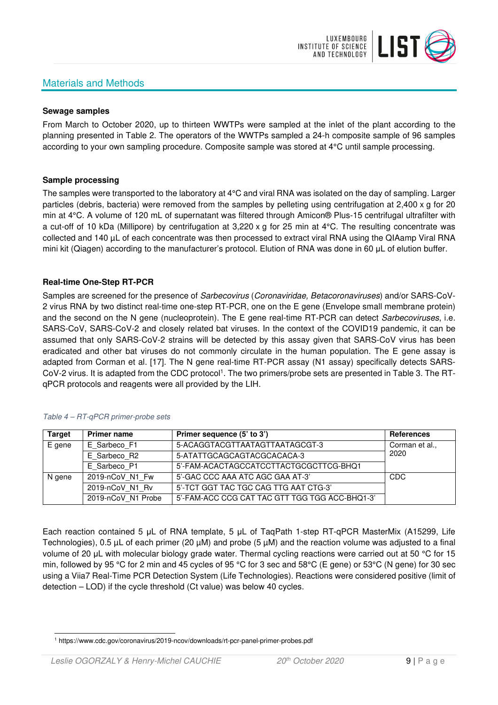# Materials and Methods



#### **Sewage samples**

From March to October 2020, up to thirteen WWTPs were sampled at the inlet of the plant according to the planning presented in Table 2. The operators of the WWTPs sampled a 24-h composite sample of 96 samples according to your own sampling procedure. Composite sample was stored at 4°C until sample processing.

#### **Sample processing**

The samples were transported to the laboratory at 4°C and viral RNA was isolated on the day of sampling. Larger particles (debris, bacteria) were removed from the samples by pelleting using centrifugation at 2,400 x g for 20 min at 4°C. A volume of 120 mL of supernatant was filtered through Amicon® Plus-15 centrifugal ultrafilter with a cut-off of 10 kDa (Millipore) by centrifugation at 3,220 x g for 25 min at 4°C. The resulting concentrate was collected and 140 µL of each concentrate was then processed to extract viral RNA using the QIAamp Viral RNA mini kit (Qiagen) according to the manufacturer's protocol. Elution of RNA was done in 60 μL of elution buffer.

#### **Real-time One-Step RT-PCR**

Samples are screened for the presence of *Sarbecovirus (Coronaviridae, Betacoronaviruses*) and/or SARS-CoV-2 virus RNA by two distinct real-time one-step RT-PCR, one on the E gene (Envelope small membrane protein) and the second on the N gene (nucleoprotein). The E gene real-time RT-PCR can detect Sarbecoviruses, i.e. SARS-CoV, SARS-CoV-2 and closely related bat viruses. In the context of the COVID19 pandemic, it can be assumed that only SARS-CoV-2 strains will be detected by this assay given that SARS-CoV virus has been eradicated and other bat viruses do not commonly circulate in the human population. The E gene assay is adapted from Corman et al. [17]. The N gene real-time RT-PCR assay (N1 assay) specifically detects SARS-CoV-2 virus. It is adapted from the CDC protocol<sup>1</sup>. The two primers/probe sets are presented in Table 3. The RTqPCR protocols and reagents were all provided by the LIH.

| <b>Target</b> | <b>Primer name</b> | Primer sequence (5' to 3')                     | <b>References</b> |
|---------------|--------------------|------------------------------------------------|-------------------|
| E gene        | E Sarbeco F1       | 5-ACAGGTACGTTAATAGTTAATAGCGT-3                 | Corman et al.,    |
|               | E Sarbeco R2       | 5-ATATTGCAGCAGTACGCACACA-3                     | 2020              |
|               | E Sarbeco P1       | 5'-FAM-ACACTAGCCATCCTTACTGCGCTTCG-BHQ1         |                   |
| N gene        | 2019-nCoV N1 Fw    | 5'-GAC CCC AAA ATC AGC GAA AT-3'               | <b>CDC</b>        |
|               | 2019-nCoV N1 Rv    | 5'-TCT GGT TAC TGC CAG TTG AAT CTG-3'          |                   |
|               | 2019-nCoV N1 Probe | 5'-FAM-ACC CCG CAT TAC GTT TGG TGG ACC-BHQ1-3' |                   |

#### Table 4 – RT-qPCR primer-probe sets

Each reaction contained 5 μL of RNA template, 5 μL of TaqPath 1-step RT-qPCR MasterMix (A15299, Life Technologies), 0.5 µL of each primer (20 µM) and probe (5 µM) and the reaction volume was adjusted to a final volume of 20 μL with molecular biology grade water. Thermal cycling reactions were carried out at 50 °C for 15 min, followed by 95 °C for 2 min and 45 cycles of 95 °C for 3 sec and 58°C (E gene) or 53°C (N gene) for 30 sec using a Viia7 Real-Time PCR Detection System (Life Technologies). Reactions were considered positive (limit of detection – LOD) if the cycle threshold (Ct value) was below 40 cycles.

<sup>1</sup> https://www.cdc.gov/coronavirus/2019-ncov/downloads/rt-pcr-panel-primer-probes.pdf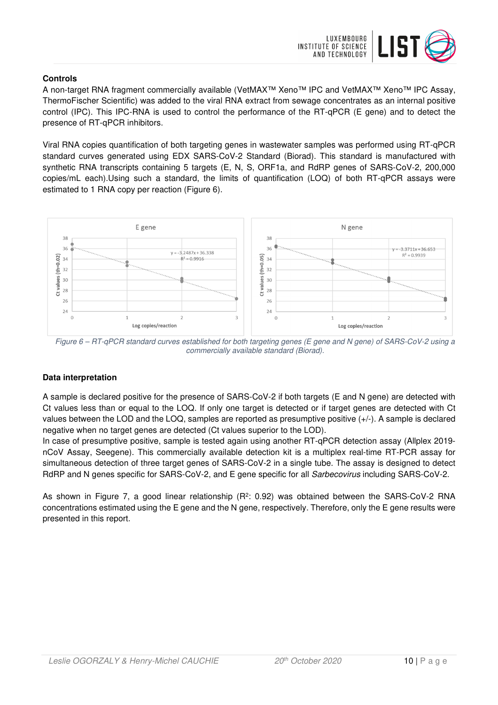

### **Controls**

A non-target RNA fragment commercially available (VetMAX™ Xeno™ IPC and VetMAX™ Xeno™ IPC Assay, ThermoFischer Scientific) was added to the viral RNA extract from sewage concentrates as an internal positive control (IPC). This IPC-RNA is used to control the performance of the RT-qPCR (E gene) and to detect the presence of RT-qPCR inhibitors.

Viral RNA copies quantification of both targeting genes in wastewater samples was performed using RT-qPCR standard curves generated using EDX SARS-CoV-2 Standard (Biorad). This standard is manufactured with synthetic RNA transcripts containing 5 targets (E, N, S, ORF1a, and RdRP genes of SARS-CoV-2, 200,000 copies/mL each).Using such a standard, the limits of quantification (LOQ) of both RT-qPCR assays were estimated to 1 RNA copy per reaction (Figure 6).



Figure 6 – RT-qPCR standard curves established for both targeting genes (E gene and N gene) of SARS-CoV-2 using a commercially available standard (Biorad).

### **Data interpretation**

A sample is declared positive for the presence of SARS-CoV-2 if both targets (E and N gene) are detected with Ct values less than or equal to the LOQ. If only one target is detected or if target genes are detected with Ct values between the LOD and the LOQ, samples are reported as presumptive positive (+/-). A sample is declared negative when no target genes are detected (Ct values superior to the LOD).

In case of presumptive positive, sample is tested again using another RT-qPCR detection assay (Allplex 2019 nCoV Assay, Seegene). This commercially available detection kit is a multiplex real-time RT-PCR assay for simultaneous detection of three target genes of SARS-CoV-2 in a single tube. The assay is designed to detect RdRP and N genes specific for SARS-CoV-2, and E gene specific for all Sarbecovirus including SARS-CoV-2.

As shown in Figure 7, a good linear relationship ( $R^2$ : 0.92) was obtained between the SARS-CoV-2 RNA concentrations estimated using the E gene and the N gene, respectively. Therefore, only the E gene results were presented in this report.